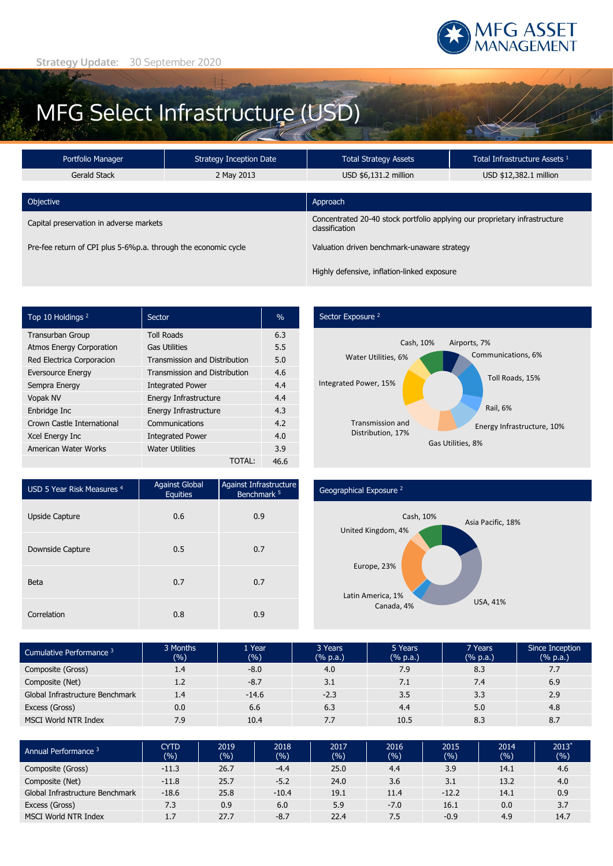

# MFG Select Infrastructure (USD)

| Portfolio Manager                                              | <b>Strategy Inception Date</b> |                                                                                              | Total Infrastructure Assets 1 |  |  |
|----------------------------------------------------------------|--------------------------------|----------------------------------------------------------------------------------------------|-------------------------------|--|--|
| Gerald Stack                                                   | 2 May 2013                     | USD \$6,131.2 million                                                                        | USD \$12,382.1 million        |  |  |
| Objective                                                      | Approach                       |                                                                                              |                               |  |  |
| Capital preservation in adverse markets                        |                                | Concentrated 20-40 stock portfolio applying our proprietary infrastructure<br>classification |                               |  |  |
| Pre-fee return of CPI plus 5-6%p.a. through the economic cycle |                                | Valuation driven benchmark-unaware strategy                                                  |                               |  |  |
|                                                                |                                | Highly defensive, inflation-linked exposure                                                  |                               |  |  |

| Top 10 Holdings <sup>2</sup>    | Sector                               | $\frac{0}{0}$ |
|---------------------------------|--------------------------------------|---------------|
| <b>Transurban Group</b>         | <b>Toll Roads</b>                    | 6.3           |
| <b>Atmos Energy Corporation</b> | <b>Gas Utilities</b>                 | 5.5           |
| Red Electrica Corporacion       | <b>Transmission and Distribution</b> | 5.0           |
| <b>Eversource Energy</b>        | <b>Transmission and Distribution</b> | 4.6           |
| Sempra Energy                   | <b>Integrated Power</b>              | 4.4           |
| <b>Vopak NV</b>                 | Energy Infrastructure                | 4.4           |
| Enbridge Inc                    | Energy Infrastructure                | 4.3           |
| Crown Castle International      | Communications                       | 4.2           |
| Xcel Energy Inc                 | <b>Integrated Power</b>              | 4.0           |
| American Water Works            | <b>Water Utilities</b>               | 3.9           |
|                                 | <b>TOTAL:</b>                        | 46.6          |

### Sector Exposure<sup>2</sup>



| USD 5 Year Risk Measures <sup>4</sup> | <b>Against Global</b><br><b>Equities</b> | Against Infrastructure<br>Benchmark <sup>5</sup> |
|---------------------------------------|------------------------------------------|--------------------------------------------------|
| Upside Capture                        | 0.6                                      | 0.9                                              |
| Downside Capture                      | 0.5                                      | 0.7                                              |
| <b>Beta</b>                           | 0.7                                      | 0.7                                              |
| Correlation                           | 0.8                                      | 0.9                                              |

### Geographical Exposure <sup>2</sup>



| Cumulative Performance 3        | 3 Months<br>(%) | 1 Year<br>(%) | 3 Years<br>(% p.a.) | 5 Years<br>(% p.a.) | 7 Years<br>(% p.a.) | Since Inception<br>(% p.a.) |
|---------------------------------|-----------------|---------------|---------------------|---------------------|---------------------|-----------------------------|
| Composite (Gross)               | 1.4             | $-8.0$        | 4.0                 | 7.9                 | 8.3                 | 7.7                         |
| Composite (Net)                 | 1.2             | $-8.7$        | 3.1                 | 7.1                 | 7.4                 | 6.9                         |
| Global Infrastructure Benchmark | 1.4             | $-14.6$       | $-2.3$              | 3.5                 | 3.3                 | 2.9                         |
| Excess (Gross)                  | 0.0             | 6.6           | 6.3                 | 4.4                 | 5.0                 | 4.8                         |
| <b>MSCI World NTR Index</b>     | 7.9             | 10.4          | 7.7                 | 10.5                | 8.3                 | 8.7                         |

| Annual Performance <sup>3</sup> | <b>CYTD</b><br>(9/6) | 2019<br>(%) | 2018<br>(%) | 2017<br>(%) | 2016<br>(96) | 2015<br>(%) | 2014<br>(%) | $2013*$<br>(%) |
|---------------------------------|----------------------|-------------|-------------|-------------|--------------|-------------|-------------|----------------|
| Composite (Gross)               | $-11.3$              | 26.7        | $-4.4$      | 25.0        | 4.4          | 3.9         | 14.1        | 4.6            |
| Composite (Net)                 | $-11.8$              | 25.7        | $-5.2$      | 24.0        | 3.6          | 3.1         | 13.2        | 4.0            |
| Global Infrastructure Benchmark | $-18.6$              | 25.8        | $-10.4$     | 19.1        | 11.4         | $-12.2$     | 14.1        | 0.9            |
| Excess (Gross)                  | 7.3                  | 0.9         | 6.0         | 5.9         | $-7.0$       | 16.1        | 0.0         | 3.7            |
| <b>MSCI World NTR Index</b>     | 1.7                  | 27.7        | $-8.7$      | 22.4        | 7.5          | $-0.9$      | 4.9         | 14.7           |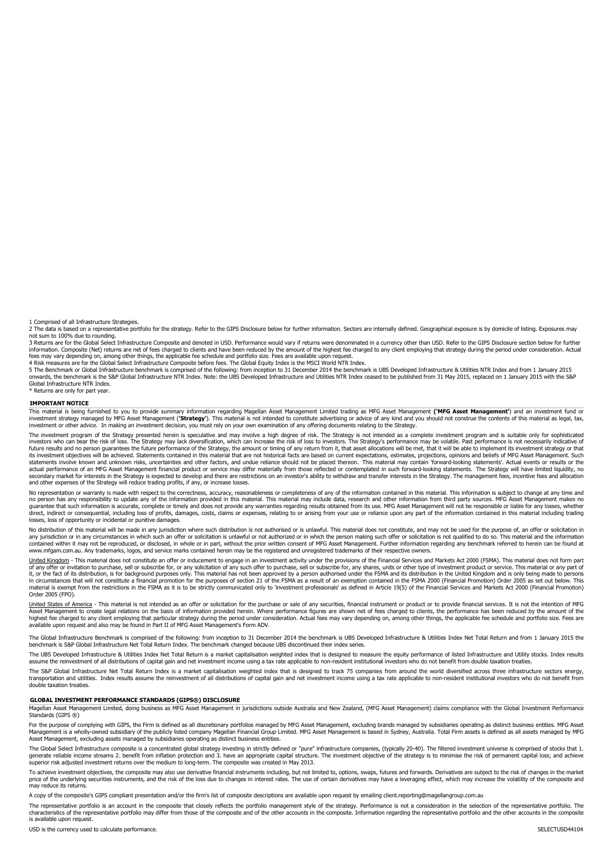1 Comprised of all Infrastructure Strategies.<br>2 The data is based on a representative portfolio for the strategy. Refer to the GIPS Disclosure below for further information. Sectors are internally defined. Geographical exp

3 Returns are for the Global Select Infrastructure Composite and denoted in USD. Performance would vary if returns were denominated in a currency other than USD. Refer to the GIPS Disclosure section below for further information. Composite (Net) returns are net of fees charged to clients and have been reduced by the amount of the highest fee charged to any client employing that strategy during the period under consideration. Actual fees may vary depending on, among other things, the applicable fee schedule and portfolio size. Fees are available upon request.

4 Risk measures are for the Global Select Infrastructure Composite before fees. The Global Equity Index is the MSCI World NTR Index.

5 The Benchmark or Global Infrastructure benchmark is comprised of the following: from inception to 31 December 2014 the benchmark is UBS Developed Infrastructure & Utilities NTR Index and from 1 January 2015<br>onwards, the Global Infrastructure NTR Index.

Returns are only for part year.

**IMPORTANT NOTICE**<br>This material is being furnished to you to provide summary information regarding Magellan Asset Management Limited trading as MFG Asset Management ('**MFG Asset Management**') and an investment fund or<br>inv investment or other advice. In making an investment decision, you must rely on your own examination of any offering documents relating to the Strategy.

The investment program of the Strategy presented herein is speculative and may involve a high degree of risk. The Strategy is not intended as a complete investment program and is suitable only for sophisticated<br>investors w future results and no person guarantees the future performance of the Strategy, the amount or timing of any return from it, that asset allocations will be met, that it will be able to implement its investment strategy or t actual performance of an MFG Asset Management financial product or service may differ materially from those reflected or contemplated in such forward-looking statements. The Strategy will have limited liquidity, no secondary market for interests in the Strategy is expected to develop and there are restrictions on an investor's ability to withdraw and transfer interests in the Strategy. The management fees, incentive fees and allocati and other expenses of the Strategy will reduce trading profits, if any, or increase losses.

No representation or warranty is made with respect to the correctness, accuracy, reasonableness or completeness of any of the information contained in this material. This information is subject to change at any time and on direct, indirect or consequential, including loss of profits, damages, costs, claims or expenses, relating to or arising from your use or reliance upon any part of the information contained in this material including tradi losses, loss of opportunity or incidental or punitive damages.

No distribution of this material will be made in any jurisdiction where such distribution is not authorised or is unlawful. This material does not constitute, and may not be used for the purpose of, an offer or solicitatio any jurisdiction or in any circumstances in which such an offer or solicitation is unlawful or not authorized or in which the person making such offer or solicitation is not qualified to do so. This material and the inform www.mfgam.com.au. Any trademarks, logos, and service marks contained herein may be the registered and unregistered trademarks of their respective owners.

United Kingdom - This material does not constitute an offer or inducement to engage in an investment activity under the provisions of the Financial Services and Markets Act 2000 (FSMA). This material does not form part of any offer or invitation to purchase, sell or subscribe for, or any solicitation of any such offer to purchase, sell or subscribe for, any shares, units or other type of investment product or service. This material or an material is exempt from the restrictions in the FSMA as it is to be strictly communicated only to 'investment professionals' as defined in Article 19(5) of the Financial Services and Markets Act 2000 (Financial Promotion) Order 2005 (FPO).

<u>United States of America</u> - This material is not intended as an offer or solicitation for the purchase or sale of any securities, financial instrument or product or to provide financial services. It is not the intention o available upon request and also may be found in Part II of MFG Asset Management's Form ADV.

structure Benchmark is comprised of the following: from inception to 31 December 2014 the benchmark is UBS Developed Infrastructure & Utilities Index Net Total Return and from 1 January 2015 the benchmark is S&P Global Infrastructure Net Total Return Index. The benchmark changed because UBS discontinued their index series.

The UBS Developed Infrastructure & Utilities Index Net Total Return is a market capitalisation weighted index that is designed to measure the equity performance of listed Infrastructure and Utility stocks. Index results<br>as

The S&P Global Infrastructure Net Total Return Index is a market capitalisation weighted index that is designed to track 75 companies from around the world diversified across three infrastructure sectors energy, transportation and utilities. Index results assume the reinvestment of all distributions of capital gain and net investment income using a tax rate applicable to non-resident institutional investors who do not benefit from double taxation treaties.

### **GLOBAL INVESTMENT PERFORMANCE STANDARDS (GIPS®) DISCLOSURE**

Magellan Asset Management Limited, doing business as MFG Asset Management in jurisdictions outside Australia and New Zealand, (MFG Asset Management) claims compliance with the Global Investment Performance Standards (GIPS ®)

For the purpose of complying with GIPS, the Firm is defined as all discretionary portfolios managed by MFG Asset Management, excluding brands managed by subsidiaries operating as distinct business entities. MFG Asset Management is a wholly-owned subsidiary of the publicly listed company Magellan Financial Group Limited. MFG Asset Management is based in Sydney, Australia. Total Firm assets is defined as all assets managed by MFG<br>Asset M

The Global Select Infrastructure composite is a concentrated global strategy investing in strictly defined or "pure" infrastructure companies, (typically 20-40). The filtered investment universe is comprised of stocks that generate reliable income streams 2. benefit from inflation protection and 3. have an appropriate capital structure. The investment objective of the strategy is to minimise the risk of permanent capital loss; and achieve<br>su

To achieve investment objectives, the composite may also use derivative financial instruments including, but not limited to, options, swaps, futures and forwards. Derivatives are subject to the risk of changes in the marke may reduce its returns.

A copy of the composite's GIPS compliant presentation and/or the firm's list of composite descriptions are available upon request by emailing client.reporting@magellangroup.com.au

The representative portfolio is an account in the composite that closely reflects the portfolio management style of the strategy. Performance is not a consideration in the selection of the representative portfolio. The characteristics of the representative portfolio may differ from those of the composite and of the other accounts in the composite. Information regarding the representative portfolio and the other accounts in the composite is available upon request.